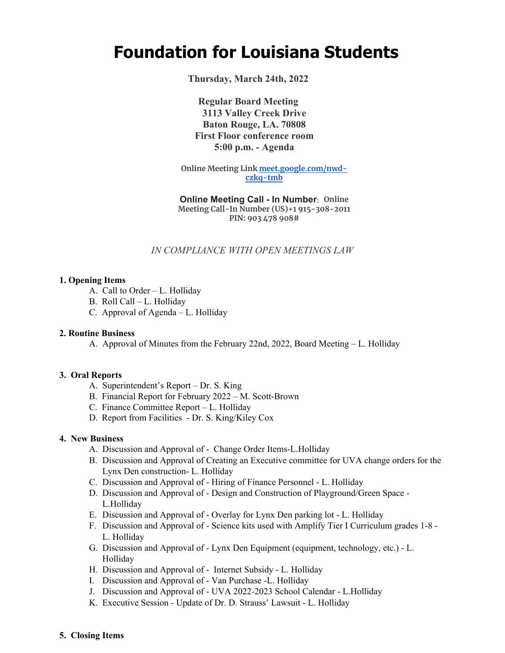# **Foundation for Louisiana Students**

**Thursday, March 24th, 2022** 

**Regular Board Meeting 3113 Valley Creek Drive Baton Rouge, LA. 70808 First Floor conference room 5:00 p.m. - Agenda**

**Online Meeting Link meet.google.com/nwdczkq-tmb**

**Online Meeting Call - In Number: Online Meeting Call-In Number (US)+1 915-308-2011 PIN: 903 478 908#**

*IN COMPLIANCE WITH OPEN MEETINGS LAW*

#### **1. Opening Items**

- A. Call to Order L. Holliday
- B. Roll Call L. Holliday
- C. Approval of Agenda L. Holliday

## **2. Routine Business**

A. Approval of Minutes from the February 22nd, 2022, Board Meeting – L. Holliday

## **3. Oral Reports**

- A. Superintendent's Report Dr. S. King
- B. Financial Report for February 2022 M. Scott-Brown
- C. Finance Committee Report L. Holliday
- D. Report from Facilities Dr. S. King/Kiley Cox

#### **4. New Business**

- A. Discussion and Approval of Change Order Items-L.Holliday
- B. Discussion and Approval of Creating an Executive committee for UVA change orders for the Lynx Den construction- L. Holliday
- C. Discussion and Approval of Hiring of Finance Personnel L. Holliday
- D. Discussion and Approval of Design and Construction of Playground/Green Space L.Holliday
- E. Discussion and Approval of Overlay for Lynx Den parking lot L. Holliday
- F. Discussion and Approval of Science kits used with Amplify Tier I Curriculum grades 1-8 L. Holliday
- G. Discussion and Approval of Lynx Den Equipment (equipment, technology, etc.) L. Holliday
- H. Discussion and Approval of Internet Subsidy L. Holliday
- I. Discussion and Approval of Van Purchase -L. Holliday
- J. Discussion and Approval of UVA 2022-2023 School Calendar L.Holliday
- K. Executive Session Update of Dr. D. Strauss' Lawsuit L. Holliday

## **5. Closing Items**